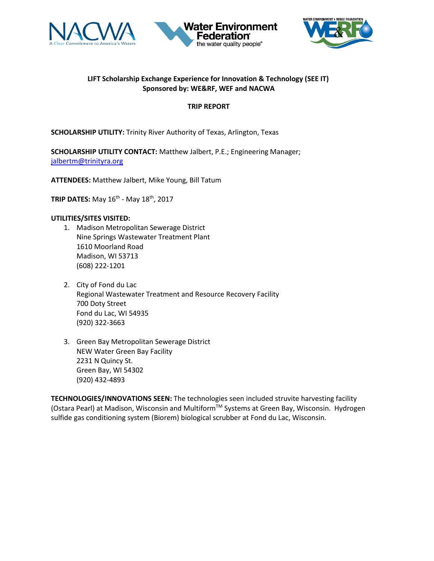





## **LIFT Scholarship Exchange Experience for Innovation & Technology (SEE IT) Sponsored by: WE&RF, WEF and NACWA**

### **TRIP REPORT**

**SCHOLARSHIP UTILITY:** Trinity River Authority of Texas, Arlington, Texas

**SCHOLARSHIP UTILITY CONTACT:** Matthew Jalbert, P.E.; Engineering Manager; [jalbertm@trinityra.org](mailto:jalbertm@trinityra.org)

**ATTENDEES:** Matthew Jalbert, Mike Young, Bill Tatum

**TRIP DATES:** May 16th - May 18th, 2017

### **UTILITIES/SITES VISITED:**

- 1. Madison Metropolitan Sewerage District Nine Springs Wastewater Treatment Plant 1610 Moorland Road Madison, WI 53713 (608) 222-1201
- 2. City of Fond du Lac Regional Wastewater Treatment and Resource Recovery Facility 700 Doty Street Fond du Lac, WI 54935 (920) 322-3663
- 3. Green Bay Metropolitan Sewerage District NEW Water Green Bay Facility 2231 N Quincy St. Green Bay, WI 54302 (920) 432-4893

**TECHNOLOGIES/INNOVATIONS SEEN:** The technologies seen included struvite harvesting facility (Ostara Pearl) at Madison, Wisconsin and Multiform™ Systems at Green Bay, Wisconsin. Hydrogen sulfide gas conditioning system (Biorem) biological scrubber at Fond du Lac, Wisconsin.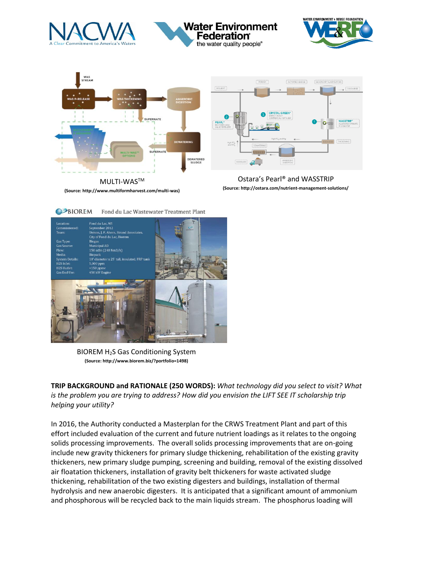

# Water Environment Federation the water quality people®







**(Source: http://www.multiformharvest.com/multi-was)**

Ostara's Pearl® and WASSTRIP **(Source: http://ostara.com/nutrient-management-solutions/**



BIOREM H2S Gas Conditioning System **(Source: http://www.biorem.biz/?portfolio=1498)**

**TRIP BACKGROUND and RATIONALE (250 WORDS):** *What technology did you select to visit? What is the problem you are trying to address? How did you envision the LIFT SEE IT scholarship trip helping your utility?* 

In 2016, the Authority conducted a Masterplan for the CRWS Treatment Plant and part of this effort included evaluation of the current and future nutrient loadings as it relates to the ongoing solids processing improvements. The overall solids processing improvements that are on-going include new gravity thickeners for primary sludge thickening, rehabilitation of the existing gravity thickeners, new primary sludge pumping, screening and building, removal of the existing dissolved air floatation thickeners, installation of gravity belt thickeners for waste activated sludge thickening, rehabilitation of the two existing digesters and buildings, installation of thermal hydrolysis and new anaerobic digesters. It is anticipated that a significant amount of ammonium and phosphorous will be recycled back to the main liquids stream. The phosphorus loading will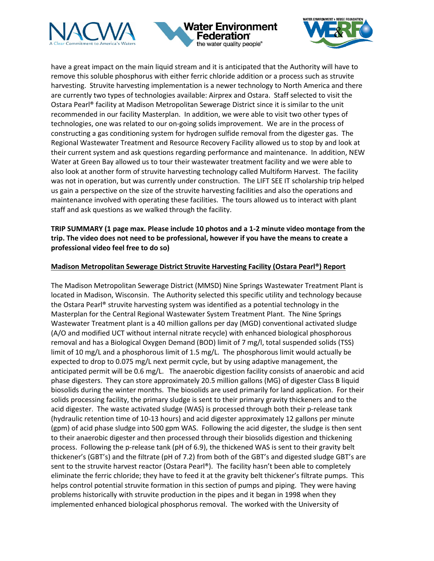





have a great impact on the main liquid stream and it is anticipated that the Authority will have to remove this soluble phosphorus with either ferric chloride addition or a process such as struvite harvesting. Struvite harvesting implementation is a newer technology to North America and there are currently two types of technologies available: Airprex and Ostara. Staff selected to visit the Ostara Pearl® facility at Madison Metropolitan Sewerage District since it is similar to the unit recommended in our facility Masterplan. In addition, we were able to visit two other types of technologies, one was related to our on-going solids improvement. We are in the process of constructing a gas conditioning system for hydrogen sulfide removal from the digester gas. The Regional Wastewater Treatment and Resource Recovery Facility allowed us to stop by and look at their current system and ask questions regarding performance and maintenance. In addition, NEW Water at Green Bay allowed us to tour their wastewater treatment facility and we were able to also look at another form of struvite harvesting technology called Multiform Harvest. The facility was not in operation, but was currently under construction. The LIFT SEE IT scholarship trip helped us gain a perspective on the size of the struvite harvesting facilities and also the operations and maintenance involved with operating these facilities. The tours allowed us to interact with plant staff and ask questions as we walked through the facility.

## **TRIP SUMMARY (1 page max. Please include 10 photos and a 1-2 minute video montage from the trip. The video does not need to be professional, however if you have the means to create a professional video feel free to do so)**

### **Madison Metropolitan Sewerage District Struvite Harvesting Facility (Ostara Pearl®) Report**

The Madison Metropolitan Sewerage District (MMSD) Nine Springs Wastewater Treatment Plant is located in Madison, Wisconsin. The Authority selected this specific utility and technology because the Ostara Pearl® struvite harvesting system was identified as a potential technology in the Masterplan for the Central Regional Wastewater System Treatment Plant. The Nine Springs Wastewater Treatment plant is a 40 million gallons per day (MGD) conventional activated sludge (A/O and modified UCT without internal nitrate recycle) with enhanced biological phosphorous removal and has a Biological Oxygen Demand (BOD) limit of 7 mg/l, total suspended solids (TSS) limit of 10 mg/L and a phosphorous limit of 1.5 mg/L. The phosphorous limit would actually be expected to drop to 0.075 mg/L next permit cycle, but by using adaptive management, the anticipated permit will be 0.6 mg/L. The anaerobic digestion facility consists of anaerobic and acid phase digesters. They can store approximately 20.5 million gallons (MG) of digester Class B liquid biosolids during the winter months. The biosolids are used primarily for land application. For their solids processing facility, the primary sludge is sent to their primary gravity thickeners and to the acid digester. The waste activated sludge (WAS) is processed through both their p-release tank (hydraulic retention time of 10-13 hours) and acid digester approximately 12 gallons per minute (gpm) of acid phase sludge into 500 gpm WAS. Following the acid digester, the sludge is then sent to their anaerobic digester and then processed through their biosolids digestion and thickening process. Following the p-release tank (pH of 6.9), the thickened WAS is sent to their gravity belt thickener's (GBT's) and the filtrate (pH of 7.2) from both of the GBT's and digested sludge GBT's are sent to the struvite harvest reactor (Ostara Pearl®). The facility hasn't been able to completely eliminate the ferric chloride; they have to feed it at the gravity belt thickener's filtrate pumps. This helps control potential struvite formation in this section of pumps and piping. They were having problems historically with struvite production in the pipes and it began in 1998 when they implemented enhanced biological phosphorus removal. The worked with the University of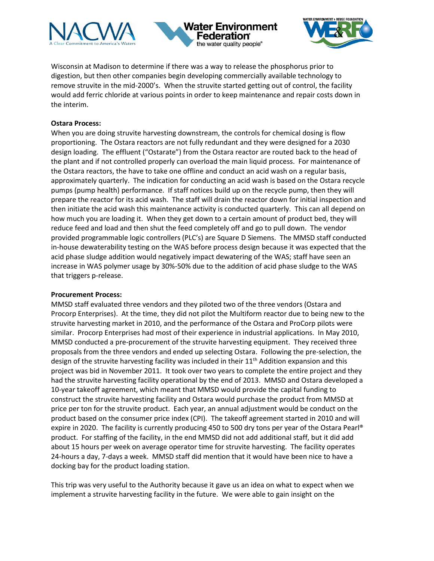





Wisconsin at Madison to determine if there was a way to release the phosphorus prior to digestion, but then other companies begin developing commercially available technology to remove struvite in the mid-2000's. When the struvite started getting out of control, the facility would add ferric chloride at various points in order to keep maintenance and repair costs down in the interim.

### **Ostara Process:**

When you are doing struvite harvesting downstream, the controls for chemical dosing is flow proportioning. The Ostara reactors are not fully redundant and they were designed for a 2030 design loading. The effluent ("Ostarate") from the Ostara reactor are routed back to the head of the plant and if not controlled properly can overload the main liquid process. For maintenance of the Ostara reactors, the have to take one offline and conduct an acid wash on a regular basis, approximately quarterly. The indication for conducting an acid wash is based on the Ostara recycle pumps (pump health) performance. If staff notices build up on the recycle pump, then they will prepare the reactor for its acid wash. The staff will drain the reactor down for initial inspection and then initiate the acid wash this maintenance activity is conducted quarterly. This can all depend on how much you are loading it. When they get down to a certain amount of product bed, they will reduce feed and load and then shut the feed completely off and go to pull down. The vendor provided programmable logic controllers (PLC's) are Square D Siemens. The MMSD staff conducted in-house dewaterability testing on the WAS before process design because it was expected that the acid phase sludge addition would negatively impact dewatering of the WAS; staff have seen an increase in WAS polymer usage by 30%-50% due to the addition of acid phase sludge to the WAS that triggers p-release.

#### **Procurement Process:**

MMSD staff evaluated three vendors and they piloted two of the three vendors (Ostara and Procorp Enterprises). At the time, they did not pilot the Multiform reactor due to being new to the struvite harvesting market in 2010, and the performance of the Ostara and ProCorp pilots were similar. Procorp Enterprises had most of their experience in industrial applications. In May 2010, MMSD conducted a pre-procurement of the struvite harvesting equipment. They received three proposals from the three vendors and ended up selecting Ostara. Following the pre-selection, the design of the struvite harvesting facility was included in their 11<sup>th</sup> Addition expansion and this project was bid in November 2011. It took over two years to complete the entire project and they had the struvite harvesting facility operational by the end of 2013. MMSD and Ostara developed a 10-year takeoff agreement, which meant that MMSD would provide the capital funding to construct the struvite harvesting facility and Ostara would purchase the product from MMSD at price per ton for the struvite product. Each year, an annual adjustment would be conduct on the product based on the consumer price index (CPI). The takeoff agreement started in 2010 and will expire in 2020. The facility is currently producing 450 to 500 dry tons per year of the Ostara Pearl® product. For staffing of the facility, in the end MMSD did not add additional staff, but it did add about 15 hours per week on average operator time for struvite harvesting. The facility operates 24-hours a day, 7-days a week. MMSD staff did mention that it would have been nice to have a docking bay for the product loading station.

This trip was very useful to the Authority because it gave us an idea on what to expect when we implement a struvite harvesting facility in the future. We were able to gain insight on the